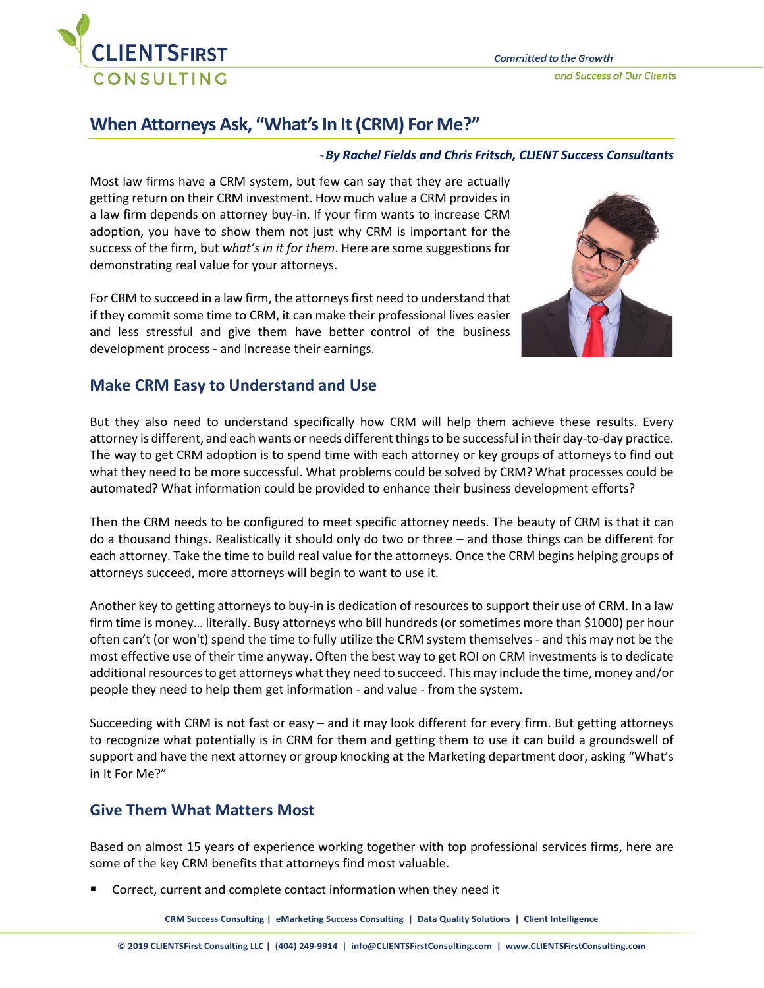

## **When Attorneys Ask, "What's In It (CRM) For Me?"**

## -*By Rachel Fields and Chris Fritsch, CLIENT Success Consultants*

Most law firms have a CRM system, but few can say that they are actually getting return on their CRM investment. How much value a CRM provides in a law firm depends on attorney buy-in. If your firm wants to increase CRM adoption, you have to show them not just why CRM is important for the success of the firm, but *what's in it for them*. Here are some suggestions for demonstrating real value for your attorneys.

For CRM to succeed in a law firm, the attorneys first need to understand that if they commit some time to CRM, it can make their professional lives easier and less stressful and give them have better control of the business development process - and increase their earnings.



## **Make CRM Easy to Understand and Use**

But they also need to understand specifically how CRM will help them achieve these results. Every attorney is different, and each wants or needs different things to be successful in their day-to-day practice. The way to get CRM adoption is to spend time with each attorney or key groups of attorneys to find out what they need to be more successful. What problems could be solved by CRM? What processes could be automated? What information could be provided to enhance their business development efforts?

Then the CRM needs to be configured to meet specific attorney needs. The beauty of CRM is that it can do a thousand things. Realistically it should only do two or three – and those things can be different for each attorney. Take the time to build real value for the attorneys. Once the CRM begins helping groups of attorneys succeed, more attorneys will begin to want to use it.

Another key to getting attorneys to buy-in is dedication of resources to support their use of CRM. In a law firm time is money… literally. Busy attorneys who bill hundreds (or sometimes more than \$1000) per hour often can't (or won't) spend the time to fully utilize the CRM system themselves - and this may not be the most effective use of their time anyway. Often the best way to get ROI on CRM investments is to dedicate additional resources to get attorneys what they need to succeed. This may include the time, money and/or people they need to help them get information - and value - from the system.

Succeeding with CRM is not fast or easy – and it may look different for every firm. But getting attorneys to recognize what potentially is in CRM for them and getting them to use it can build a groundswell of support and have the next attorney or group knocking at the Marketing department door, asking "What's in It For Me?"

## **Give Them What Matters Most**

Based on almost 15 years of experience working together with top professional services firms, here are some of the key CRM benefits that attorneys find most valuable.

Correct, current and complete contact information when they need it

**CRM Success Consulting | eMarketing Success Consulting | Data Quality Solutions | Client Intelligence**